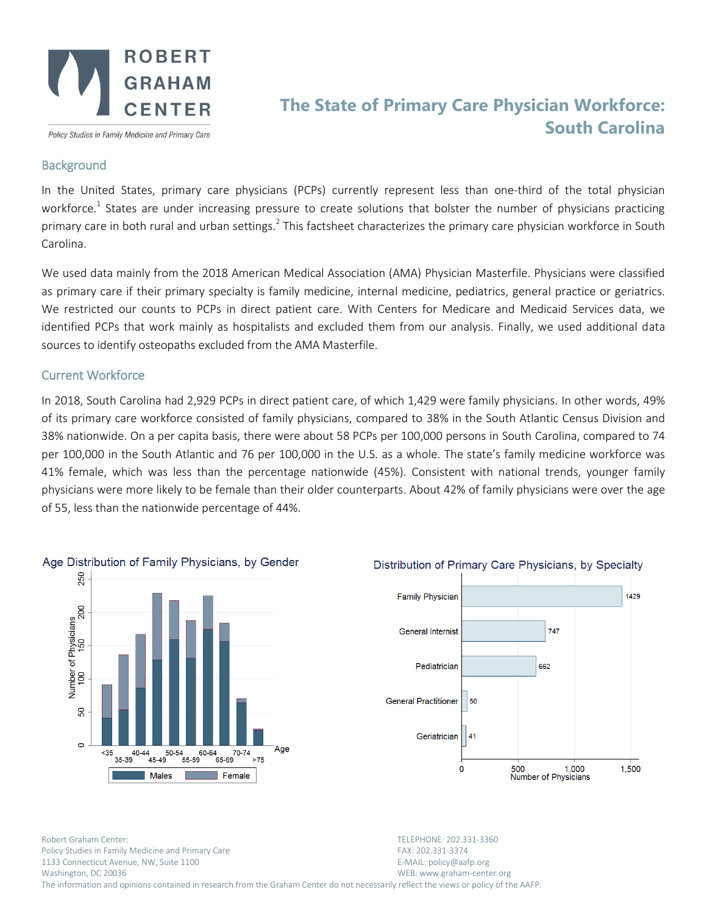

Policy Studies in Family Medicine and Primary Care

## **The State of Primary Care Physician Workforce: South Carolina**

## **Background**

In the United States, primary care physicians (PCPs) currently represent less than one-third of the total physician workforce.<sup>1</sup> States are under increasing pressure to create solutions that bolster the number of physicians practicing primary care in both rural and urban settings.<sup>2</sup> This factsheet characterizes the primary care physician workforce in South Carolina.

We used data mainly from the 2018 American Medical Association (AMA) Physician Masterfile. Physicians were classified as primary care if their primary specialty is family medicine, internal medicine, pediatrics, general practice or geriatrics. We restricted our counts to PCPs in direct patient care. With Centers for Medicare and Medicaid Services data, we identified PCPs that work mainly as hospitalists and excluded them from our analysis. Finally, we used additional data sources to identify osteopaths excluded from the AMA Masterfile.

## Current Workforce

In 2018, South Carolina had 2,929 PCPs in direct patient care, of which 1,429 were family physicians. In other words, 49% of its primary care workforce consisted of family physicians, compared to 38% in the South Atlantic Census Division and 38% nationwide. On a per capita basis, there were about 58 PCPs per 100,000 persons in South Carolina, compared to 74 per 100,000 in the South Atlantic and 76 per 100,000 in the U.S. as a whole. The state's family medicine workforce was 41% female, which was less than the percentage nationwide (45%). Consistent with national trends, younger family physicians were more likely to be female than their older counterparts. About 42% of family physicians were over the age of 55, less than the nationwide percentage of 44%.





Robert Graham Center: TELEPHONE: 202.331-3360 Policy Studies in Family Medicine and Primary Care FAX: 202.331-3374 1133 Connecticut Avenue, NW, Suite 1100 E-MAIL: policy@aafp.org Washington, DC 20036 WEB: www.graham-center.org The information and opinions contained in research from the Graham Center do not necessarily reflect the views or policy of the AAFP.